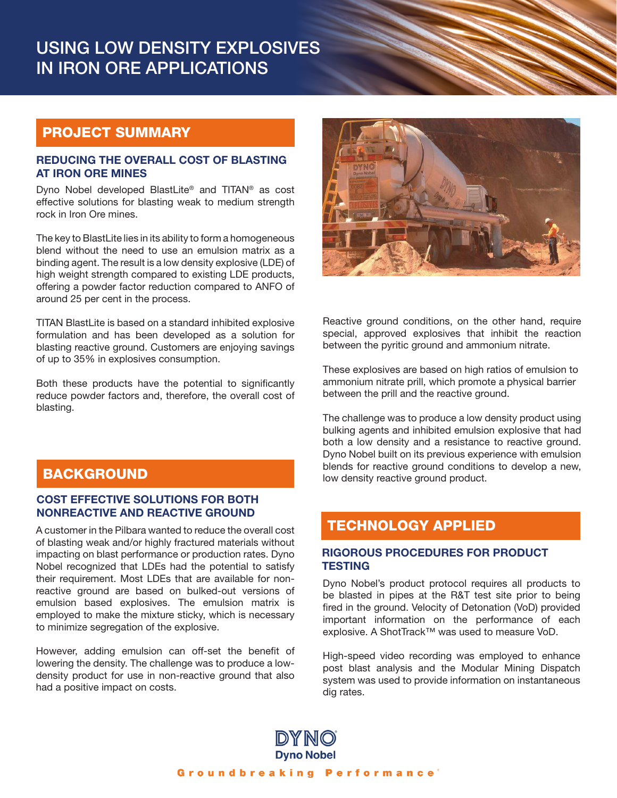# USING LOW DENSITY EXPLOSIVES IN IRON ORE APPLICATIONS

## PROJECT SUMMARY

#### REDUCING THE OVERALL COST OF BLASTING AT IRON ORE MINES

Dyno Nobel developed BlastLite® and TITAN® as cost effective solutions for blasting weak to medium strength rock in Iron Ore mines.

The key to BlastLite lies in its ability to form a homogeneous blend without the need to use an emulsion matrix as a binding agent. The result is a low density explosive (LDE) of high weight strength compared to existing LDE products, offering a powder factor reduction compared to ANFO of around 25 per cent in the process.

TITAN BlastLite is based on a standard inhibited explosive formulation and has been developed as a solution for blasting reactive ground. Customers are enjoying savings of up to 35% in explosives consumption.

Both these products have the potential to significantly reduce powder factors and, therefore, the overall cost of blasting.



Reactive ground conditions, on the other hand, require special, approved explosives that inhibit the reaction between the pyritic ground and ammonium nitrate.

These explosives are based on high ratios of emulsion to ammonium nitrate prill, which promote a physical barrier between the prill and the reactive ground.

The challenge was to produce a low density product using bulking agents and inhibited emulsion explosive that had both a low density and a resistance to reactive ground. Dyno Nobel built on its previous experience with emulsion blends for reactive ground conditions to develop a new, low density reactive ground product.

# BACKGROUND

### COST EFFECTIVE SOLUTIONS FOR BOTH NONREACTIVE AND REACTIVE GROUND

A customer in the Pilbara wanted to reduce the overall cost of blasting weak and/or highly fractured materials without impacting on blast performance or production rates. Dyno Nobel recognized that LDEs had the potential to satisfy their requirement. Most LDEs that are available for nonreactive ground are based on bulked-out versions of emulsion based explosives. The emulsion matrix is employed to make the mixture sticky, which is necessary to minimize segregation of the explosive.

However, adding emulsion can off-set the benefit of lowering the density. The challenge was to produce a lowdensity product for use in non-reactive ground that also had a positive impact on costs.

## TECHNOLOGY APPLIED

### RIGOROUS PROCEDURES FOR PRODUCT **TESTING**

Dyno Nobel's product protocol requires all products to be blasted in pipes at the R&T test site prior to being fired in the ground. Velocity of Detonation (VoD) provided important information on the performance of each explosive. A ShotTrack™ was used to measure VoD.

High-speed video recording was employed to enhance post blast analysis and the Modular Mining Dispatch system was used to provide information on instantaneous dig rates.